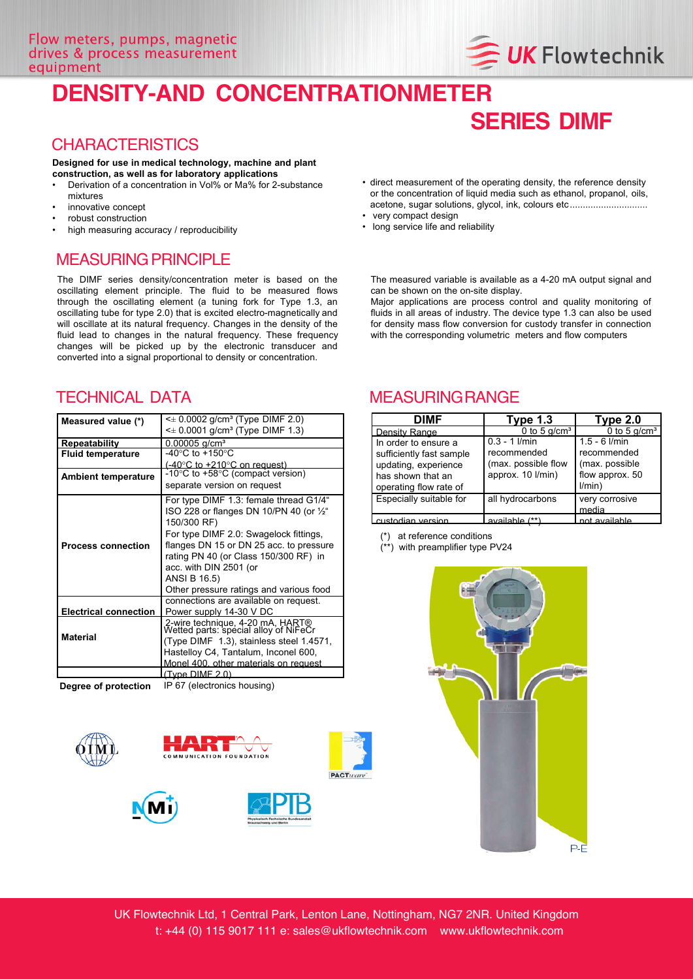# **DENSITY-AND CONCENTRATIONMETER**

### **CHARACTERISTICS**

### **Designed for use in medical technology, machine and plant construction, as well as for laboratory applications**

- Derivation of a concentration in Vol% or Ma% for 2-substance mixtures
- innovative concept
- robust construction
- high measuring accuracy / reproducibility

### MEASURING PRINCIPLE

The DIMF series density/concentration meter is based on the oscillating element principle. The fluid to be measured flows through the oscillating element (a tuning fork for Type 1.3, an oscillating tube for type 2.0) that is excited electro-magnetically and will oscillate at its natural frequency. Changes in the density of the fluid lead to changes in the natural frequency. These frequency changes will be picked up by the electronic transducer and converted into a signal proportional to density or concentration.

| Measured value (*)           | $\leq$ 0.0002 g/cm <sup>3</sup> (Type DIMF 2.0)                           |  |  |
|------------------------------|---------------------------------------------------------------------------|--|--|
|                              | $\leq$ 0.0001 g/cm <sup>3</sup> (Type DIMF 1.3)                           |  |  |
| <b>Repeatability</b>         | $0.00005$ g/cm <sup>3</sup>                                               |  |  |
| <b>Fluid temperature</b>     | -40 $^{\circ}$ C to +150 $^{\circ}$ C                                     |  |  |
|                              | $(-40^{\circ}$ C to $+210^{\circ}$ C on request)                          |  |  |
| <b>Ambient temperature</b>   | -10 $\degree$ C to +58 $\degree$ C (compact version)                      |  |  |
|                              | separate version on request                                               |  |  |
| <b>Process connection</b>    | For type DIMF 1.3: female thread G1/4"                                    |  |  |
|                              | ISO 228 or flanges DN 10/PN 40 (or $\frac{1}{2}$ "                        |  |  |
|                              | 150/300 RF)                                                               |  |  |
|                              | For type DIMF 2.0: Swagelock fittings,                                    |  |  |
|                              | flanges DN 15 or DN 25 acc. to pressure                                   |  |  |
|                              | rating PN 40 (or Class 150/300 RF) in                                     |  |  |
|                              | acc. with DIN 2501 (or                                                    |  |  |
|                              | <b>ANSI B 16.5)</b>                                                       |  |  |
|                              | Other pressure ratings and various food                                   |  |  |
|                              | connections are available on request.                                     |  |  |
| <b>Electrical connection</b> | Power supply 14-30 V DC                                                   |  |  |
| <b>Material</b>              | 2-wire technique, 4-20 mA, HART®<br>Wetted parts: special alloy of NiFeCr |  |  |
|                              | (Type DIMF 1.3), stainless steel 1.4571,                                  |  |  |
|                              | Hastelloy C4, Tantalum, Inconel 600,                                      |  |  |
|                              | Monel 400, other materials on request                                     |  |  |
|                              |                                                                           |  |  |
|                              | (Type DIME 2.0)                                                           |  |  |

**Degree of protection** IP 67 (electronics housing)











• direct measurement of the operating density, the reference density or the concentration of liquid media such as ethanol, propanol, oils, acetone, sugar solutions, glycol, ink, colours etc..............................

**SERIES DIMF**

**UK Flowtechnik** 

- very compact design
- long service life and reliability

The measured variable is available as a 4-20 mA output signal and can be shown on the on-site display.

Major applications are process control and quality monitoring of fluids in all areas of industry. The device type 1.3 can also be used for density mass flow conversion for custody transfer in connection with the corresponding volumetric meters and flow computers

### TECHNICAL DATA MEASURINGRANGE

| DIMF                     | Type $1.3$             | Type 2.0          |
|--------------------------|------------------------|-------------------|
| Density Range            | 0 to 5 $q/cm3$         | 0 to 5 $q/cm3$    |
| In order to ensure a     | $0.3 - 1$ <i>l/min</i> | $1.5 - 6$ $I/min$ |
| sufficiently fast sample | recommended            | recommended       |
| updating, experience     | (max. possible flow    | (max. possible    |
| has shown that an        | approx. 10 l/min)      | flow approx. 50   |
| operating flow rate of   |                        | l/min)            |
| Especially suitable for  | all hydrocarbons       | very corrosive    |
|                          |                        | media             |
| custodian version        | available (**)         | not available     |

(\*) at reference conditions

(\*\*) with preamplifier type PV24